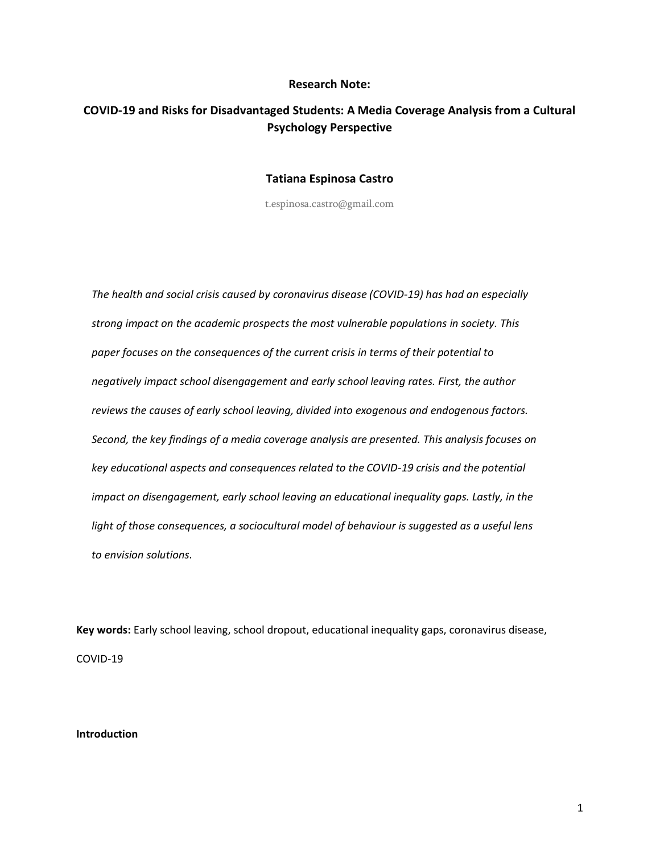# **Research Note:**

# **COVID-19 and Risks for Disadvantaged Students: A Media Coverage Analysis from a Cultural Psychology Perspective**

# **Tatiana Espinosa Castro**

t.espinosa.castro@gmail.com

*The health and social crisis caused by coronavirus disease (COVID-19) has had an especially strong impact on the academic prospects the most vulnerable populations in society. This paper focuses on the consequences of the current crisis in terms of their potential to negatively impact school disengagement and early school leaving rates. First, the author reviews the causes of early school leaving, divided into exogenous and endogenous factors. Second, the key findings of a media coverage analysis are presented. This analysis focuses on key educational aspects and consequences related to the COVID-19 crisis and the potential impact on disengagement, early school leaving an educational inequality gaps. Lastly, in the light of those consequences, a sociocultural model of behaviour is suggested as a useful lens to envision solutions.*

**Key words:** Early school leaving, school dropout, educational inequality gaps, coronavirus disease, COVID-19

# **Introduction**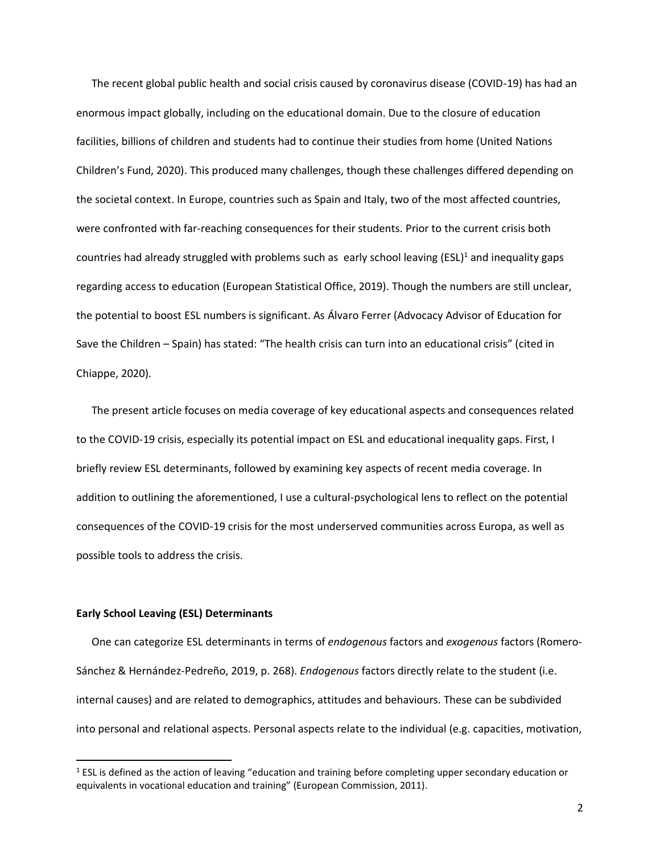The recent global public health and social crisis caused by coronavirus disease (COVID-19) has had an enormous impact globally, including on the educational domain. Due to the closure of education facilities, billions of children and students had to continue their studies from home (United Nations Children's Fund, 2020). This produced many challenges, though these challenges differed depending on the societal context. In Europe, countries such as Spain and Italy, two of the most affected countries, were confronted with far-reaching consequences for their students. Prior to the current crisis both countries had already struggled with problems such as early school leaving (ESL)<sup>1</sup> and inequality gaps regarding access to education (European Statistical Office, 2019). Though the numbers are still unclear, the potential to boost ESL numbers is significant. As Álvaro Ferrer (Advocacy Advisor of Education for Save the Children – Spain) has stated: "The health crisis can turn into an educational crisis" (cited in Chiappe, 2020).

The present article focuses on media coverage of key educational aspects and consequences related to the COVID-19 crisis, especially its potential impact on ESL and educational inequality gaps. First, I briefly review ESL determinants, followed by examining key aspects of recent media coverage. In addition to outlining the aforementioned, I use a cultural-psychological lens to reflect on the potential consequences of the COVID-19 crisis for the most underserved communities across Europa, as well as possible tools to address the crisis.

#### **Early School Leaving (ESL) Determinants**

One can categorize ESL determinants in terms of *endogenous* factors and *exogenous* factors (Romero-Sánchez & Hernández-Pedreño, 2019, p. 268). *Endogenous* factors directly relate to the student (i.e. internal causes) and are related to demographics, attitudes and behaviours. These can be subdivided into personal and relational aspects. Personal aspects relate to the individual (e.g. capacities, motivation,

<sup>&</sup>lt;sup>1</sup> ESL is defined as the action of leaving "education and training before completing upper secondary education or equivalents in vocational education and training" (European Commission, 2011).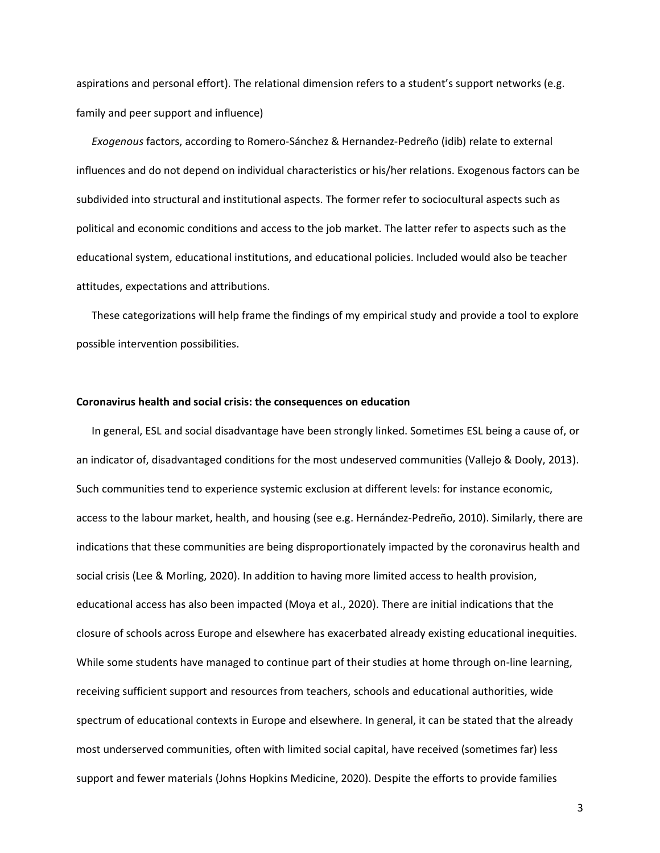aspirations and personal effort). The relational dimension refers to a student's support networks (e.g. family and peer support and influence)

*Exogenous* factors, according to Romero-Sánchez & Hernandez-Pedreño (idib) relate to external influences and do not depend on individual characteristics or his/her relations. Exogenous factors can be subdivided into structural and institutional aspects. The former refer to sociocultural aspects such as political and economic conditions and access to the job market. The latter refer to aspects such as the educational system, educational institutions, and educational policies. Included would also be teacher attitudes, expectations and attributions.

These categorizations will help frame the findings of my empirical study and provide a tool to explore possible intervention possibilities.

## **Coronavirus health and social crisis: the consequences on education**

In general, ESL and social disadvantage have been strongly linked. Sometimes ESL being a cause of, or an indicator of, disadvantaged conditions for the most undeserved communities (Vallejo & Dooly, 2013). Such communities tend to experience systemic exclusion at different levels: for instance economic, access to the labour market, health, and housing (see e.g. Hernández-Pedreño, 2010). Similarly, there are indications that these communities are being disproportionately impacted by the coronavirus health and social crisis (Lee & Morling, 2020). In addition to having more limited access to health provision, educational access has also been impacted (Moya et al., 2020). There are initial indications that the closure of schools across Europe and elsewhere has exacerbated already existing educational inequities. While some students have managed to continue part of their studies at home through on-line learning, receiving sufficient support and resources from teachers, schools and educational authorities, wide spectrum of educational contexts in Europe and elsewhere. In general, it can be stated that the already most underserved communities, often with limited social capital, have received (sometimes far) less support and fewer materials (Johns Hopkins Medicine, 2020). Despite the efforts to provide families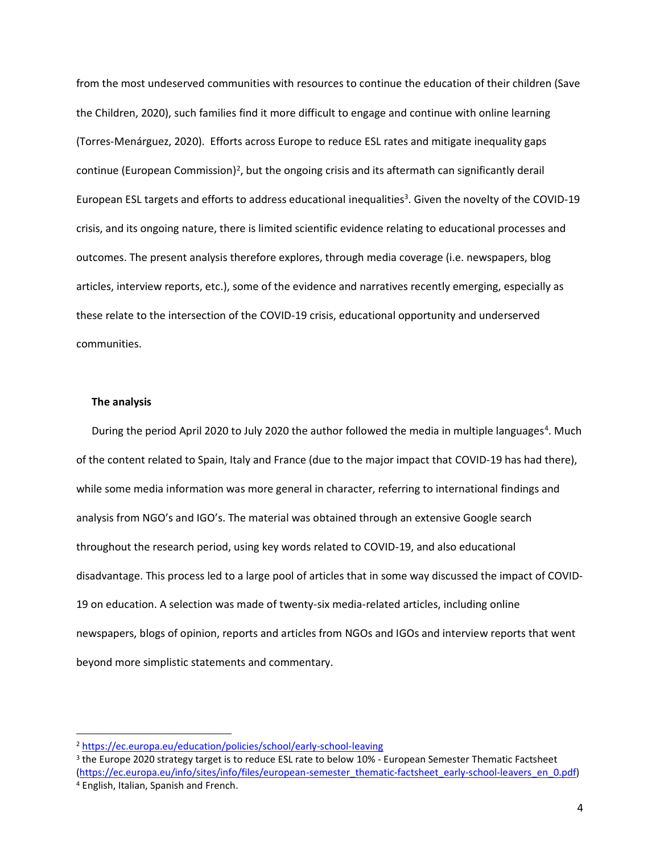from the most undeserved communities with resources to continue the education of their children (Save the Children, 2020), such families find it more difficult to engage and continue with online learning (Torres-Menárguez, 2020). Efforts across Europe to reduce ESL rates and mitigate inequality gaps continue (European Commission)<sup>2</sup>, but the ongoing crisis and its aftermath can significantly derail European ESL targets and efforts to address educational inequalities<sup>3</sup>. Given the novelty of the COVID-19 crisis, and its ongoing nature, there is limited scientific evidence relating to educational processes and outcomes. The present analysis therefore explores, through media coverage (i.e. newspapers, blog articles, interview reports, etc.), some of the evidence and narratives recently emerging, especially as these relate to the intersection of the COVID-19 crisis, educational opportunity and underserved communities.

## **The analysis**

During the period April 2020 to July 2020 the author followed the media in multiple languages<sup>4</sup>. Much of the content related to Spain, Italy and France (due to the major impact that COVID-19 has had there), while some media information was more general in character, referring to international findings and analysis from NGO's and IGO's. The material was obtained through an extensive Google search throughout the research period, using key words related to COVID-19, and also educational disadvantage. This process led to a large pool of articles that in some way discussed the impact of COVID-19 on education. A selection was made of twenty-six media-related articles, including online newspapers, blogs of opinion, reports and articles from NGOs and IGOs and interview reports that went beyond more simplistic statements and commentary.

<sup>2</sup> <https://ec.europa.eu/education/policies/school/early-school-leaving>

<sup>&</sup>lt;sup>3</sup> the Europe 2020 strategy target is to reduce ESL rate to below 10% - European Semester Thematic Factsheet [\(https://ec.europa.eu/info/sites/info/files/european-semester\\_thematic-factsheet\\_early-school-leavers\\_en\\_0.pdf\)](https://ec.europa.eu/info/sites/info/files/european-semester_thematic-factsheet_early-school-leavers_en_0.pdf) <sup>4</sup> English, Italian, Spanish and French.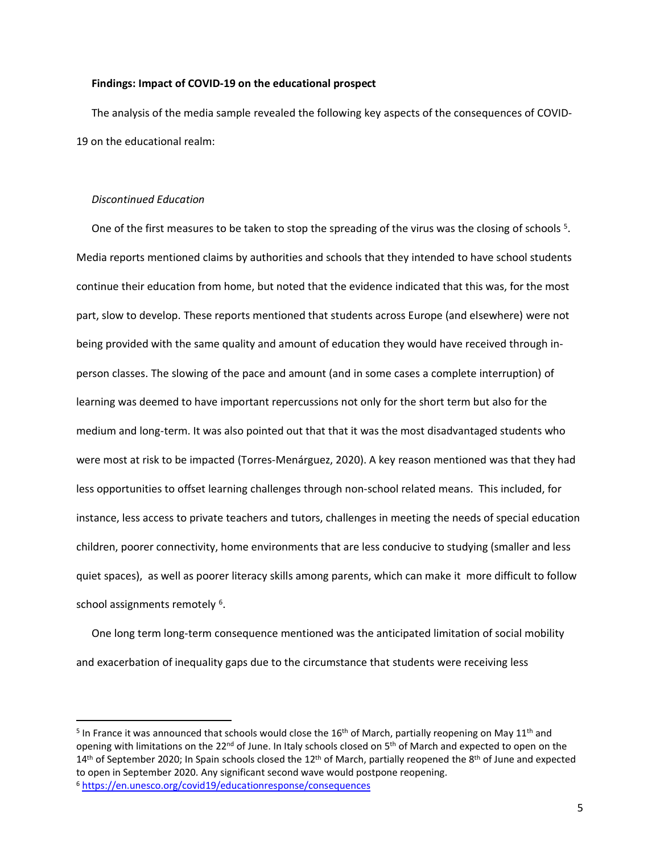# **Findings: Impact of COVID-19 on the educational prospect**

The analysis of the media sample revealed the following key aspects of the consequences of COVID-19 on the educational realm:

## *Discontinued Education*

One of the first measures to be taken to stop the spreading of the virus was the closing of schools <sup>5</sup>. Media reports mentioned claims by authorities and schools that they intended to have school students continue their education from home, but noted that the evidence indicated that this was, for the most part, slow to develop. These reports mentioned that students across Europe (and elsewhere) were not being provided with the same quality and amount of education they would have received through inperson classes. The slowing of the pace and amount (and in some cases a complete interruption) of learning was deemed to have important repercussions not only for the short term but also for the medium and long-term. It was also pointed out that that it was the most disadvantaged students who were most at risk to be impacted (Torres-Menárguez, 2020). A key reason mentioned was that they had less opportunities to offset learning challenges through non-school related means. This included, for instance, less access to private teachers and tutors, challenges in meeting the needs of special education children, poorer connectivity, home environments that are less conducive to studying (smaller and less quiet spaces), as well as poorer literacy skills among parents, which can make it more difficult to follow school assignments remotely <sup>6</sup>.

One long term long-term consequence mentioned was the anticipated limitation of social mobility and exacerbation of inequality gaps due to the circumstance that students were receiving less

<sup>&</sup>lt;sup>5</sup> In France it was announced that schools would close the 16<sup>th</sup> of March, partially reopening on May 11<sup>th</sup> and opening with limitations on the 22<sup>nd</sup> of June. In Italy schools closed on 5<sup>th</sup> of March and expected to open on the  $14<sup>th</sup>$  of September 2020; In Spain schools closed the  $12<sup>th</sup>$  of March, partially reopened the  $8<sup>th</sup>$  of June and expected to open in September 2020. Any significant second wave would postpone reopening.

<sup>6</sup> <https://en.unesco.org/covid19/educationresponse/consequences>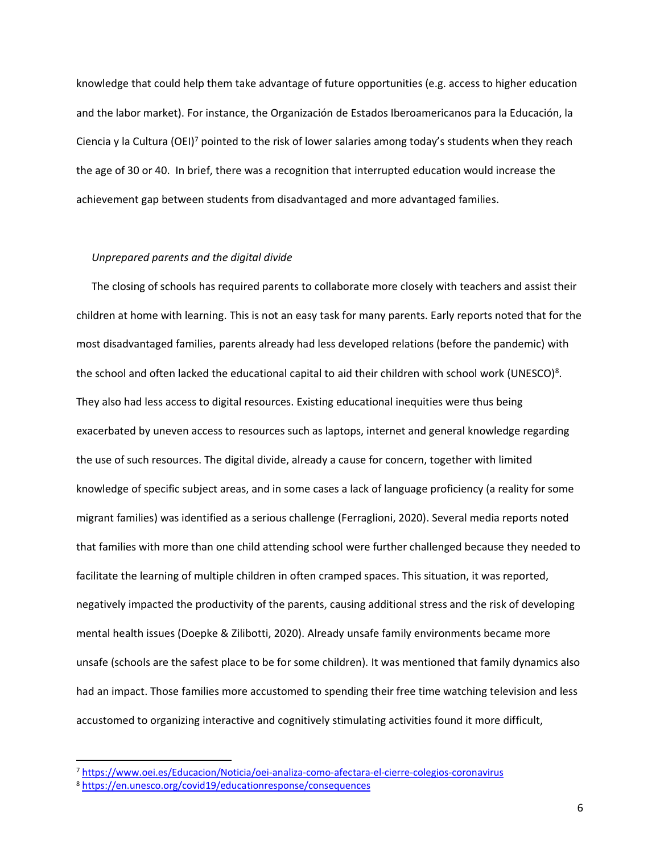knowledge that could help them take advantage of future opportunities (e.g. access to higher education and the labor market). For instance, the Organización de Estados Iberoamericanos para la Educación, la Ciencia y la Cultura (OEI)<sup>7</sup> pointed to the risk of lower salaries among today's students when they reach the age of 30 or 40. In brief, there was a recognition that interrupted education would increase the achievement gap between students from disadvantaged and more advantaged families.

# *Unprepared parents and the digital divide*

The closing of schools has required parents to collaborate more closely with teachers and assist their children at home with learning. This is not an easy task for many parents. Early reports noted that for the most disadvantaged families, parents already had less developed relations (before the pandemic) with the school and often lacked the educational capital to aid their children with school work (UNESCO)<sup>8</sup>. They also had less access to digital resources. Existing educational inequities were thus being exacerbated by uneven access to resources such as laptops, internet and general knowledge regarding the use of such resources. The digital divide, already a cause for concern, together with limited knowledge of specific subject areas, and in some cases a lack of language proficiency (a reality for some migrant families) was identified as a serious challenge (Ferraglioni, 2020). Several media reports noted that families with more than one child attending school were further challenged because they needed to facilitate the learning of multiple children in often cramped spaces. This situation, it was reported, negatively impacted the productivity of the parents, causing additional stress and the risk of developing mental health issues (Doepke & Zilibotti, 2020). Already unsafe family environments became more unsafe (schools are the safest place to be for some children). It was mentioned that family dynamics also had an impact. Those families more accustomed to spending their free time watching television and less accustomed to organizing interactive and cognitively stimulating activities found it more difficult,

<sup>7</sup> <https://www.oei.es/Educacion/Noticia/oei-analiza-como-afectara-el-cierre-colegios-coronavirus>

<sup>8</sup> <https://en.unesco.org/covid19/educationresponse/consequences>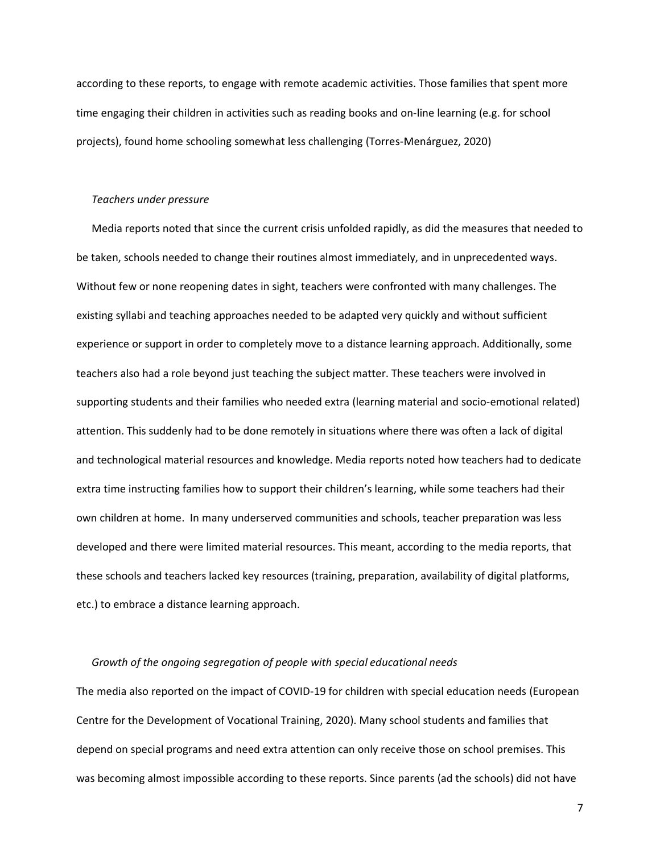according to these reports, to engage with remote academic activities. Those families that spent more time engaging their children in activities such as reading books and on-line learning (e.g. for school projects), found home schooling somewhat less challenging (Torres-Menárguez, 2020)

#### *Teachers under pressure*

Media reports noted that since the current crisis unfolded rapidly, as did the measures that needed to be taken, schools needed to change their routines almost immediately, and in unprecedented ways. Without few or none reopening dates in sight, teachers were confronted with many challenges. The existing syllabi and teaching approaches needed to be adapted very quickly and without sufficient experience or support in order to completely move to a distance learning approach. Additionally, some teachers also had a role beyond just teaching the subject matter. These teachers were involved in supporting students and their families who needed extra (learning material and socio-emotional related) attention. This suddenly had to be done remotely in situations where there was often a lack of digital and technological material resources and knowledge. Media reports noted how teachers had to dedicate extra time instructing families how to support their children's learning, while some teachers had their own children at home. In many underserved communities and schools, teacher preparation was less developed and there were limited material resources. This meant, according to the media reports, that these schools and teachers lacked key resources (training, preparation, availability of digital platforms, etc.) to embrace a distance learning approach.

# *Growth of the ongoing segregation of people with special educational needs*

The media also reported on the impact of COVID-19 for children with special education needs (European Centre for the Development of Vocational Training, 2020). Many school students and families that depend on special programs and need extra attention can only receive those on school premises. This was becoming almost impossible according to these reports. Since parents (ad the schools) did not have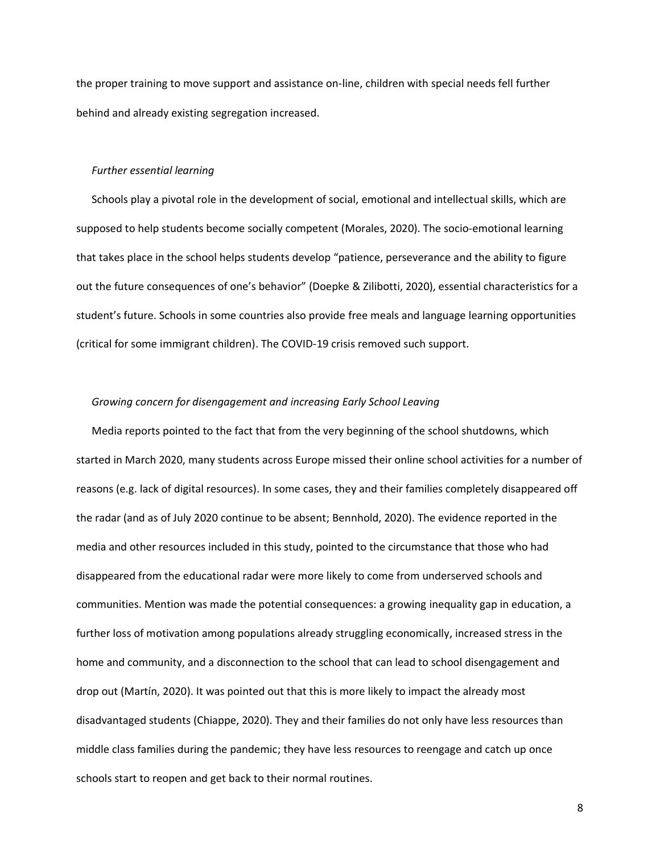the proper training to move support and assistance on-line, children with special needs fell further behind and already existing segregation increased.

#### *Further essential learning*

Schools play a pivotal role in the development of social, emotional and intellectual skills, which are supposed to help students become socially competent (Morales, 2020). The socio-emotional learning that takes place in the school helps students develop "patience, perseverance and the ability to figure out the future consequences of one's behavior" (Doepke & Zilibotti, 2020), essential characteristics for a student's future. Schools in some countries also provide free meals and language learning opportunities (critical for some immigrant children). The COVID-19 crisis removed such support.

# *Growing concern for disengagement and increasing Early School Leaving*

Media reports pointed to the fact that from the very beginning of the school shutdowns, which started in March 2020, many students across Europe missed their online school activities for a number of reasons (e.g. lack of digital resources). In some cases, they and their families completely disappeared off the radar (and as of July 2020 continue to be absent; Bennhold, 2020). The evidence reported in the media and other resources included in this study, pointed to the circumstance that those who had disappeared from the educational radar were more likely to come from underserved schools and communities. Mention was made the potential consequences: a growing inequality gap in education, a further loss of motivation among populations already struggling economically, increased stress in the home and community, and a disconnection to the school that can lead to school disengagement and drop out (Martín, 2020). It was pointed out that this is more likely to impact the already most disadvantaged students (Chiappe, 2020). They and their families do not only have less resources than middle class families during the pandemic; they have less resources to reengage and catch up once schools start to reopen and get back to their normal routines.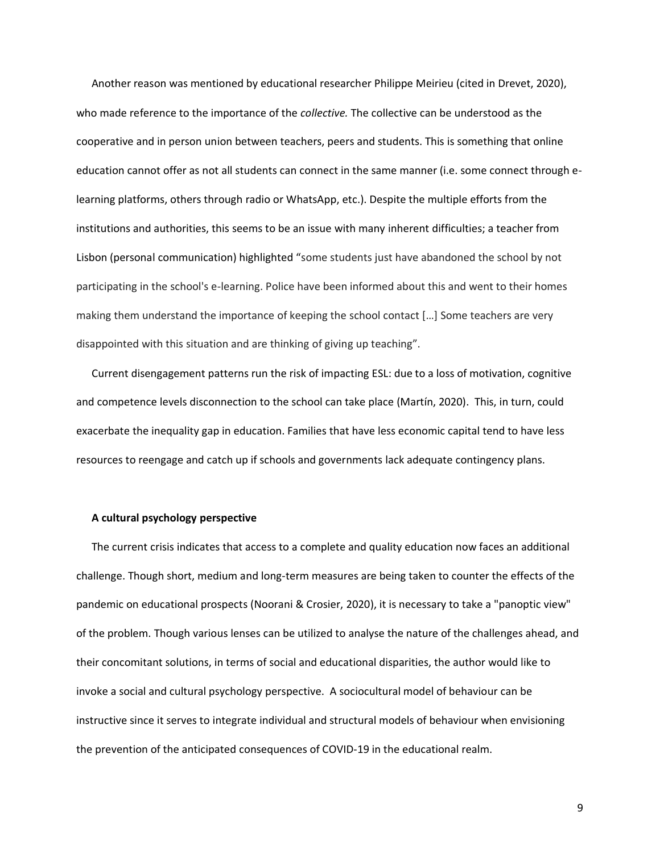Another reason was mentioned by educational researcher Philippe Meirieu (cited in Drevet, 2020), who made reference to the importance of the *collective.* The collective can be understood as the cooperative and in person union between teachers, peers and students. This is something that online education cannot offer as not all students can connect in the same manner (i.e. some connect through elearning platforms, others through radio or WhatsApp, etc.). Despite the multiple efforts from the institutions and authorities, this seems to be an issue with many inherent difficulties; a teacher from Lisbon (personal communication) highlighted "some students just have abandoned the school by not participating in the school's e-learning. Police have been informed about this and went to their homes making them understand the importance of keeping the school contact […] Some teachers are very disappointed with this situation and are thinking of giving up teaching".

Current disengagement patterns run the risk of impacting ESL: due to a loss of motivation, cognitive and competence levels disconnection to the school can take place (Martín, 2020). This, in turn, could exacerbate the inequality gap in education. Families that have less economic capital tend to have less resources to reengage and catch up if schools and governments lack adequate contingency plans.

#### **A cultural psychology perspective**

The current crisis indicates that access to a complete and quality education now faces an additional challenge. Though short, medium and long-term measures are being taken to counter the effects of the pandemic on educational prospects (Noorani & Crosier, 2020), it is necessary to take a "panoptic view" of the problem. Though various lenses can be utilized to analyse the nature of the challenges ahead, and their concomitant solutions, in terms of social and educational disparities, the author would like to invoke a social and cultural psychology perspective. A sociocultural model of behaviour can be instructive since it serves to integrate individual and structural models of behaviour when envisioning the prevention of the anticipated consequences of COVID-19 in the educational realm.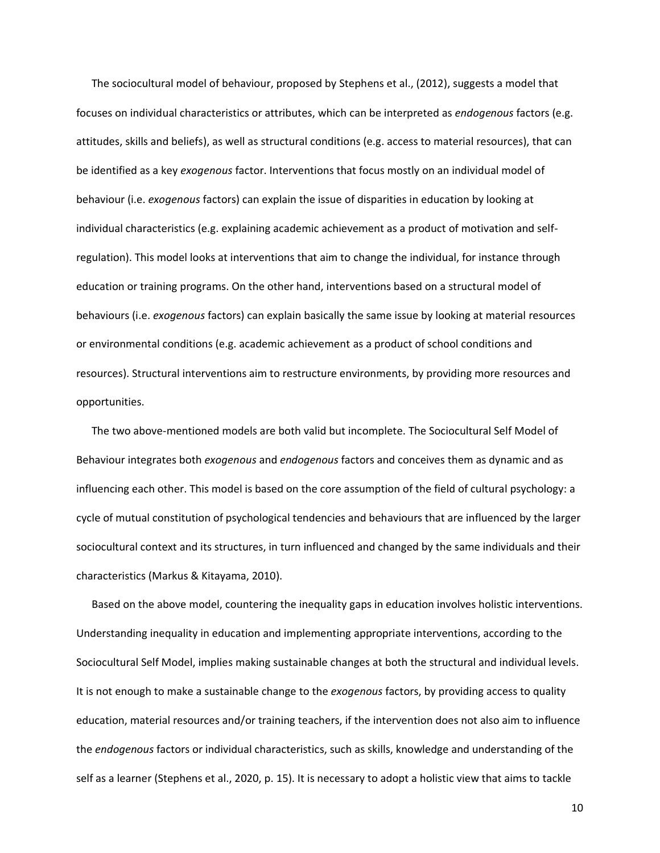The sociocultural model of behaviour, proposed by Stephens et al., (2012), suggests a model that focuses on individual characteristics or attributes, which can be interpreted as *endogenous* factors (e.g. attitudes, skills and beliefs), as well as structural conditions (e.g. access to material resources), that can be identified as a key *exogenous* factor. Interventions that focus mostly on an individual model of behaviour (i.e. *exogenous* factors) can explain the issue of disparities in education by looking at individual characteristics (e.g. explaining academic achievement as a product of motivation and selfregulation). This model looks at interventions that aim to change the individual, for instance through education or training programs. On the other hand, interventions based on a structural model of behaviours (i.e. *exogenous* factors) can explain basically the same issue by looking at material resources or environmental conditions (e.g. academic achievement as a product of school conditions and resources). Structural interventions aim to restructure environments, by providing more resources and opportunities.

The two above-mentioned models are both valid but incomplete. The Sociocultural Self Model of Behaviour integrates both *exogenous* and *endogenous* factors and conceives them as dynamic and as influencing each other. This model is based on the core assumption of the field of cultural psychology: a cycle of mutual constitution of psychological tendencies and behaviours that are influenced by the larger sociocultural context and its structures, in turn influenced and changed by the same individuals and their characteristics (Markus & Kitayama, 2010).

Based on the above model, countering the inequality gaps in education involves holistic interventions. Understanding inequality in education and implementing appropriate interventions, according to the Sociocultural Self Model, implies making sustainable changes at both the structural and individual levels. It is not enough to make a sustainable change to the *exogenous* factors, by providing access to quality education, material resources and/or training teachers, if the intervention does not also aim to influence the *endogenous* factors or individual characteristics, such as skills, knowledge and understanding of the self as a learner (Stephens et al., 2020, p. 15). It is necessary to adopt a holistic view that aims to tackle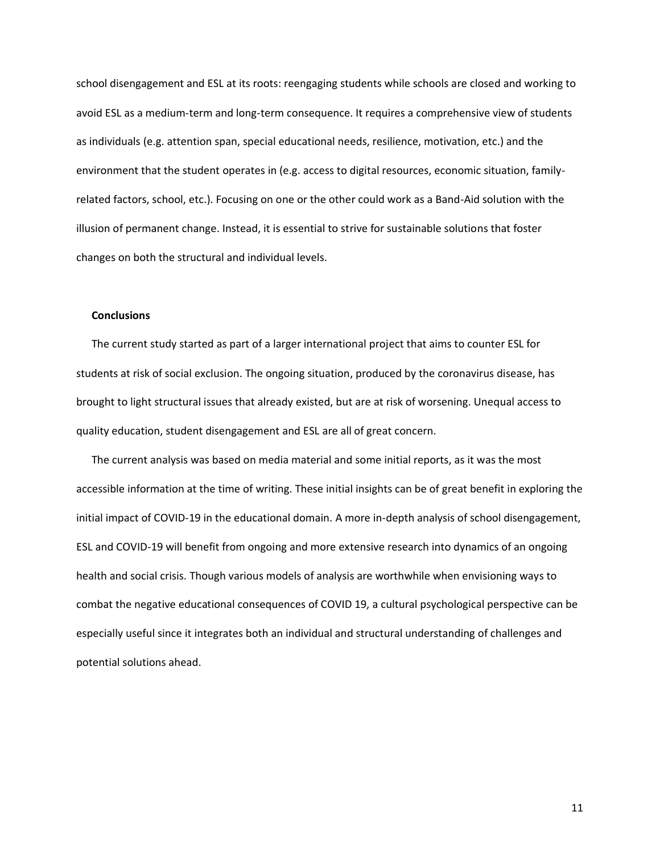school disengagement and ESL at its roots: reengaging students while schools are closed and working to avoid ESL as a medium-term and long-term consequence. It requires a comprehensive view of students as individuals (e.g. attention span, special educational needs, resilience, motivation, etc.) and the environment that the student operates in (e.g. access to digital resources, economic situation, familyrelated factors, school, etc.). Focusing on one or the other could work as a Band-Aid solution with the illusion of permanent change. Instead, it is essential to strive for sustainable solutions that foster changes on both the structural and individual levels.

## **Conclusions**

The current study started as part of a larger international project that aims to counter ESL for students at risk of social exclusion. The ongoing situation, produced by the coronavirus disease, has brought to light structural issues that already existed, but are at risk of worsening. Unequal access to quality education, student disengagement and ESL are all of great concern.

The current analysis was based on media material and some initial reports, as it was the most accessible information at the time of writing. These initial insights can be of great benefit in exploring the initial impact of COVID-19 in the educational domain. A more in-depth analysis of school disengagement, ESL and COVID-19 will benefit from ongoing and more extensive research into dynamics of an ongoing health and social crisis. Though various models of analysis are worthwhile when envisioning ways to combat the negative educational consequences of COVID 19, a cultural psychological perspective can be especially useful since it integrates both an individual and structural understanding of challenges and potential solutions ahead.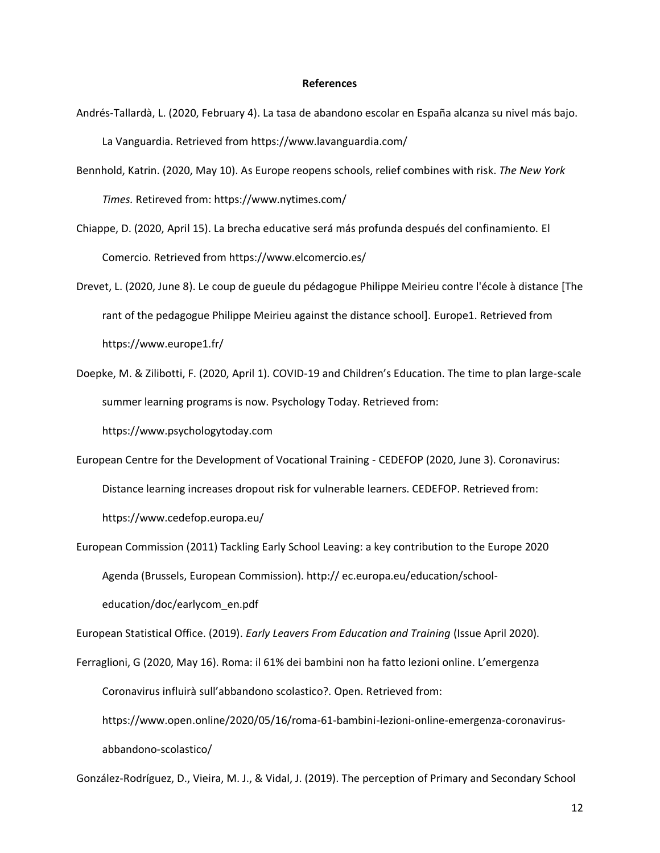## **References**

- Andrés-Tallardà, L. (2020, February 4). La tasa de abandono escolar en España alcanza su nivel más bajo. La Vanguardia. Retrieved from<https://www.lavanguardia.com/>
- Bennhold, Katrin. (2020, May 10). As Europe reopens schools, relief combines with risk. *The New York Times.* Retireved from: https://www.nytimes.com/
- Chiappe, D. (2020, April 15). La brecha educative será más profunda después del confinamiento. El Comercio. Retrieved from<https://www.elcomercio.es/>
- Drevet, L. (2020, June 8). Le coup de gueule du pédagogue Philippe Meirieu contre l'école à distance [The rant of the pedagogue Philippe Meirieu against the distance school]. Europe1. Retrieved from <https://www.europe1.fr/>
- Doepke, M. & Zilibotti, F. (2020, April 1). COVID-19 and Children's Education. The time to plan large-scale summer learning programs is now. Psychology Today. Retrieved from:

[https://www.psychologytoday.com](https://www.psychologytoday.com/)

- European Centre for the Development of Vocational Training CEDEFOP (2020, June 3). Coronavirus: Distance learning increases dropout risk for vulnerable learners. CEDEFOP. Retrieved from: <https://www.cedefop.europa.eu/>
- European Commission (2011) Tackling Early School Leaving: a key contribution to the Europe 2020 Agenda (Brussels, European Commission). http:// ec.europa.eu/education/schooleducation/doc/earlycom\_en.pdf

European Statistical Office. (2019). *Early Leavers From Education and Training* (Issue April 2020).

Ferraglioni, G (2020, May 16). Roma: il 61% dei bambini non ha fatto lezioni online. L'emergenza Coronavirus influirà sull'abbandono scolastico?. Open. Retrieved from: [https://www.open.online/2020/05/16/roma-61-bambini-lezioni-online-emergenza-coronavirus](https://www.open.online/2020/05/16/roma-61-bambini-lezioni-online-emergenza-coronavirus-abbandono-scolastico/)[abbandono-scolastico/](https://www.open.online/2020/05/16/roma-61-bambini-lezioni-online-emergenza-coronavirus-abbandono-scolastico/)

González-Rodríguez, D., Vieira, M. J., & Vidal, J. (2019). The perception of Primary and Secondary School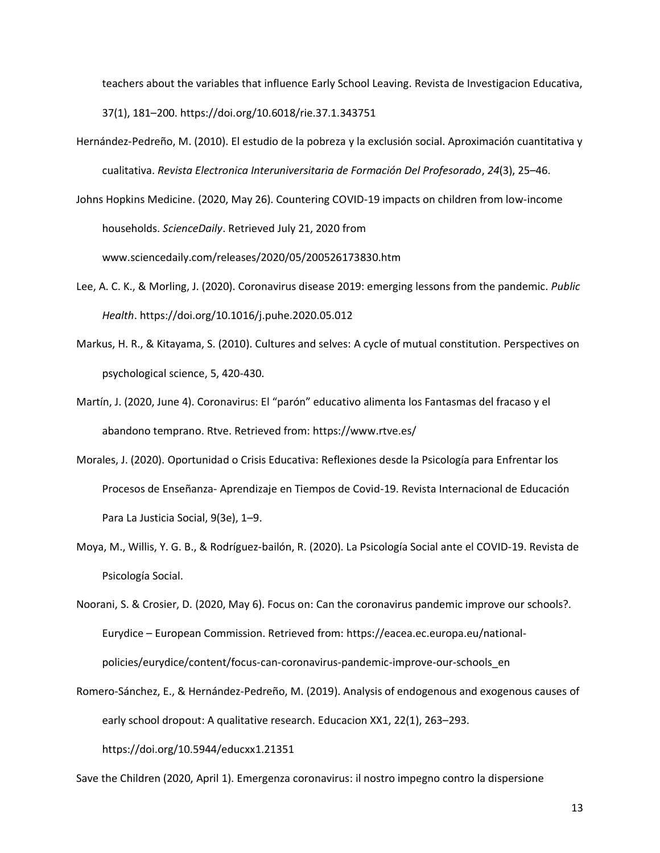teachers about the variables that influence Early School Leaving. Revista de Investigacion Educativa, 37(1), 181–200. https://doi.org/10.6018/rie.37.1.343751

Hernández-Pedreño, M. (2010). El estudio de la pobreza y la exclusión social. Aproximación cuantitativa y cualitativa. *Revista Electronica Interuniversitaria de Formación Del Profesorado*, *24*(3), 25–46.

Johns Hopkins Medicine. (2020, May 26). Countering COVID-19 impacts on children from low-income households. *ScienceDaily*. Retrieved July 21, 2020 from www.sciencedaily.com/releases/2020/05/200526173830.htm

- Lee, A. C. K., & Morling, J. (2020). Coronavirus disease 2019: emerging lessons from the pandemic. *Public Health*. https://doi.org/10.1016/j.puhe.2020.05.012
- Markus, H. R., & Kitayama, S. (2010). Cultures and selves: A cycle of mutual constitution. Perspectives on psychological science, 5, 420-430.
- Martín, J. (2020, June 4). Coronavirus: El "parón" educativo alimenta los Fantasmas del fracaso y el abandono temprano. Rtve. Retrieved from:<https://www.rtve.es/>
- Morales, J. (2020). Oportunidad o Crisis Educativa: Reflexiones desde la Psicología para Enfrentar los Procesos de Enseñanza- Aprendizaje en Tiempos de Covid-19. Revista Internacional de Educación Para La Justicia Social, 9(3e), 1–9.
- Moya, M., Willis, Y. G. B., & Rodríguez-bailón, R. (2020). La Psicología Social ante el COVID-19. Revista de Psicología Social.

Noorani, S. & Crosier, D. (2020, May 6). Focus on: Can the coronavirus pandemic improve our schools?. Eurydice – European Commission. Retrieved from: [https://eacea.ec.europa.eu/national](https://eacea.ec.europa.eu/national-policies/eurydice/content/focus-can-coronavirus-pandemic-improve-our-schools_en)[policies/eurydice/content/focus-can-coronavirus-pandemic-improve-our-schools\\_en](https://eacea.ec.europa.eu/national-policies/eurydice/content/focus-can-coronavirus-pandemic-improve-our-schools_en)

Romero-Sánchez, E., & Hernández-Pedreño, M. (2019). Analysis of endogenous and exogenous causes of early school dropout: A qualitative research. Educacion XX1, 22(1), 263–293. https://doi.org/10.5944/educxx1.21351

Save the Children (2020, April 1). Emergenza coronavirus: il nostro impegno contro la dispersione